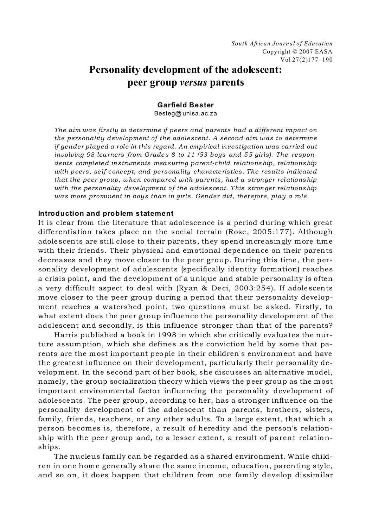# **Personality development of the adolescent: peer group** *versus* **parents**

#### **Garfield Bester** Besteg@ unisa.ac.za

*The aim was firstly to determine if peers and parents had a different impact on the personality development of the adolescent. A second aim was to determine if gender played a role in this regard. An empirical investigation was carried out involving 98 learners from Grades 8 to 11 (53 boys and 55 girls). The respondents compl eted instruments measuring parent-child relationship, relationship with peers, se lf-c onc ept, and personality characteristics. The results indicated that the peer group, when compared with parents, had a stronger relationship with the personality development of the adolescent. This stronger relationship was more prominent in boys than in girls. Gender did, therefore, play a role.*

#### **Introduction and problem statement**

It is clear from the literature that adolescence is a period during which great differentiation takes place on the social terrain (Rose, 2005:177). Although adolescents are still close to their parents, they spend increasingly more time with their friends. Their physical and emotional dependence on their parents decreases and they move closer to the peer group. During this time , the personality development of adolescents (specifically identity formation) reaches a crisis point, and the development of a unique and stable personality is often a very difficult aspect to deal with (Ryan & De ci, 2003:254). If adolescents move closer to the peer group during a period that their personality development reaches a watershed point, two questions must be asked. Firstly, to what extent does the peer group influence the personality development of the adolescent and secondly, is this influence stronger than that of the parents?

Harris published a book in 1998 in which she critically evaluates the nurture assumption, which she defines as the conviction held by some that parents are the most important people in their children's environment and have the greatest influence on their development, particularly their personality development. In the second part of her book, she discusses an alternative model, namely, the group socialization theory which views the peer group as the most important environmental factor influencing the personality development of adolescents. The peer group, according to her, has a stronger influence on the personality development of the adolescent than parents, brothers, sisters, family, friends, teachers, or any other adults. To a large extent, that which a person becomes is, therefore, a result of heredity and the person's relationship with the peer group and, to a lesser extent, a result of parent relationships.

The nucleus family can be regarded as a shared environment. While children in one home generally share the same income, education, parenting style, and so on, it does happen that children from one family develop dissimilar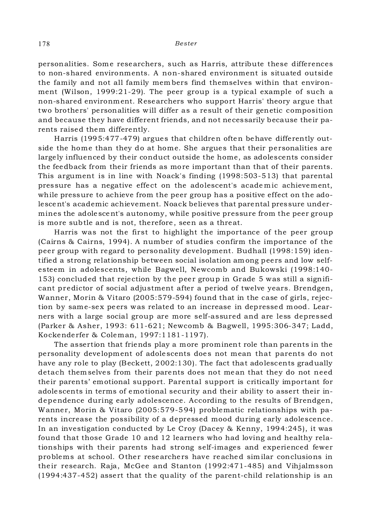personalities. Some researchers, such as Harris, attribute these differences to non-shared environments. A non-shared environment is situated outside the family and not all family mem bers find themselves within that environment (Wilson, 1999:21-29). The peer group is a typical example of such a non-shared environment. Researchers who support Harris' theory argue that two brothers' personalities will differ as a result of their genetic composition and because they have different friends, and not necessarily because their parents raised them differently.

Harris (1995:477-479) argues that children often behave differently outside the home than they do at home. She argues that their personalities are largely influenced by their conduct outside the home, as adolescents consider the feedback from their friends as more important than that of their parents. This argument is in line with Noack's finding (1998:503-513) that parental pressure has a negative effect on the adolescent's acade mic achievement, while pressure to achieve from the peer group has a positive effect on the adolescent's academic achievement. Noack believes that parental pressure undermines the adole scent's autonomy, while positive pressure from the peer group is more subtle and is not, therefore , seen as a threat.

Harris was not the first to highlight the importance of the peer group (Cairns & Cairns, 1994). A number of studies confirm the importance of the peer group with regard to personality development. Budhall (1998:159) identified a strong relationship between social isolation am ong peers and low selfesteem in adolescents, while Bagwell, Newcomb and Bukowski (1998:140- 153) concluded that rejection by the peer group in Grade 5 was still a significant predictor of social adjustment after a period of twelve years. Brendgen, Wanner, Morin & Vitaro (2005:579-594) found that in the case of girls, rejection by same-sex pe ers was related to an increase in depressed mood. Learners with a large social group are more self-assured and are less depressed (Parker & Asher, 1993: 611-621; Newcomb & Bagwell, 1995:306-347; Ladd, Kockenderfer & Coleman, 1997:1181-1197).

The assertion that friends play a more prominent role than parents in the personality development of adolescents doe s not mean that parents do not have any role to play (Beckett, 2002:130). The fact that adolescents gradually detach them selves from their parents does not mean that they do not need their parents' emotional support. Parental support is critically important for adolescents in terms of emotional security and their ability to assert their independence during early adolescence. According to the results of Brendgen, Wanner, Morin & Vitaro (2005:579-594) problematic relationships with parents increase the possibility of a depressed mood during early adolescence. In an investigation conducted by Le Croy (Dacey & Kenny, 1994:245), it was found that those Grade 10 and 12 learners who had loving and healthy relationships with their parents had strong self-images and experienced fewer problems at school. Other researchers have reached similar conclusions in the ir research. Raja, McGee and Stanton (1992:471-485) and Vihjalmsson (1994:437-452) assert that the quality of the parent-child relationship is an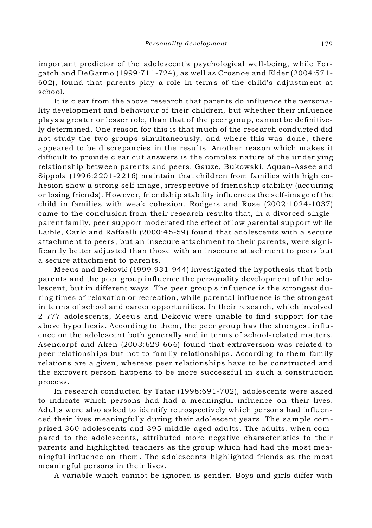important predictor of the adolescent's psychological we ll-being, while Forgatch and DeGarmo (1999:711-724), as well as Crosnoe and Elder (2004:571- 602), found that parents play a role in term s of the child's adjustm ent at school.

It is clear from the above research that parents do influence the personality development and behaviour of their children, but whether their influence plays a greater or lesser role, than that of the peer group, cannot be definitively determ ined. One reason for this is that much of the research conducted did not study the two groups simultaneously, and where this was done, there appeared to be discrepancies in the results. Another reason which makes it difficult to provide clear cut answers is the complex nature of the underlying relationship between parents and peers. Gauze, Bukowski, Aquan-Assee and Sippola (1996:2201-2216) maintain that children from families with high cohesion show a strong self-image, irrespective of friendship stability (acquiring or losing friends). H oweve r, friendship stability influences the self-image of the child in families with weak cohesion. Rodgers and Rose (2002:1024-1037) came to the conclusion from their research results that, in a divorced singleparent family, peer support moderated the effect of low parental support while Laible, Carlo and Raffaelli (2000:45-59) found that adolescents with a secure attachment to peers, but an insecure attachment to their parents, were significantly better adjusted than those with an insecure attachment to peers but a secure attachm ent to parents.

Meeus and Deković (1999:931-944) investigated the hypothesis that both parents and the peer group influence the personality development of the adolescent, but in different ways. The peer group's influence is the strongest during times of relaxation or recreation, while parental influence is the strongest in terms of school and career opportunities. In their research, which involved 2 777 adolescents, Meeus and Deković were unable to find support for the above hypothesis. According to them, the peer group has the strongest influence on the adolescent both generally and in terms of school-related matters. Asendorpf and Aken (2003:629-666) found that extraversion was related to peer relationships but not to fam ily relationships. According to them family relations are a given, whe reas peer relationships have to be constructed and the extrovert person happens to be more succe ssful in such a construction proce ss.

In research conducted by Tatar (1998:691-702), adolescents were asked to indicate which persons had had a m eaningful influence on their lives. Adults were also asked to identify retrospectively which persons had influenced their lives meaningfully during their adolescent years. The sample comprised 360 adolescents and 395 middle-aged adults. The adults, when compared to the adolescents, attributed more negative characteristics to their parents and highlighted teachers as the group which had had the most meaningful influence on them . The adolescents highlighted friends as the most meaningful persons in their lives.

A variable which cannot be ignored is gender. Boys and girls differ with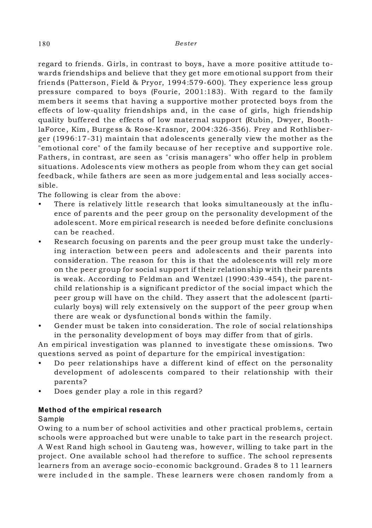regard to friends. Girls, in contrast to boys, have a more positive attitude towards friendships and believe that they get more emotional support from their friends (Patterson, Field & Pryor, 1994:579-600). They experience less group pressure compared to boys (Fourie, 2001:183). With regard to the family members it seems that having a supportive mother protected boys from the effects of low-quality friendships and, in the case of girls, high friendship quality buffered the effects of low maternal support (Rubin, Dwyer, BoothlaForce, Kim, Burgess & Rose-Krasnor, 2004:326-356). Frey and Rothlisberger (1996:17-31) maintain that adolescents generally view the mother as the "emotional core" of the family because of her receptive and supportive role. Fathers, in contrast, are seen as "crisis managers" who offer help in problem situations. Adolescents view mothers as people from whom they can get social feedback, while fathers are seen as more judgemental and less socially accessible.

The following is clear from the above:

- There is relatively little research that looks simultaneously at the influence of parents and the peer group on the personality development of the adolescent. More empirical research is needed be fore definite conclusions can be reached.
- Research focusing on parents and the peer group must take the underlying interaction between peers and adolescents and their parents into consideration. The reason for this is that the adolescents will rely m ore on the peer group for social support if their relationship with their parents is weak. According to Feldman and Wentzel (1990:439-454), the parentchild re lationship is a significant predictor of the social impact which the peer group will have on the child. They assert that the adolescent (particularly boys) will rely extensively on the support of the peer group when there are weak or dysfunctional bonds within the family.
- Gender must be taken into consideration. The role of social relationships in the personality development of boys may differ from that of girls.

An empirical investigation was planned to investigate these omissions. Two questions served as point of departure for the empirical investigation:

- Do peer relationships have a different kind of effect on the personality development of adolescents compared to their relationship with their parents?
- Does gender play a role in this regard?

## **Method of the empirical research**

## Sample

Owing to a num ber of school activities and other practical problems, certain schools were approached but were unable to take part in the research project. A West R and high school in Gauteng was, however, willing to take part in the project. One available school had therefore to suffice. The school represents learners from an average socio-economic background. Grades 8 to 11 learners were included in the sample. These learners were chosen randomly from a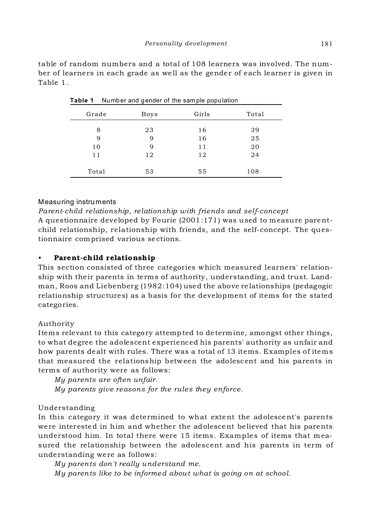|       | $\check{ }$ | . .   |       |
|-------|-------------|-------|-------|
| Grade | <b>Boys</b> | Girls | Total |
| 8     | 23          | 16    | 39    |
| 9     | 9           | 16    | 25    |
| 10    | 9           | 11    | 20    |
| 11    | 12          | 12    | 24    |
|       |             |       |       |
| Total | 53          | 55    | 108   |

**Table 1** Number and gender of the sam ple population

table of random numbers and a total of 108 learners was involved. The number of learners in each grade as well as the gender of each learner is given in Table 1.

# Measuring instruments

*Parent-child relationship, relationship with friends and self-concept* A questionnaire developed by Fourie (2001:171) was used to measure parentchild relationship, relationship with friends, and the self-concept. The questionnaire comprised various se ctions.

# • Parent-child relationship

This section consisted of three categories which measured learners' relationship with their parents in terms of authority, understanding, and trust. Landman, Roos and Liebenberg (1982:104) used the above re lationships (pedagogic relationship structures) as a basis for the development of items for the stated categories.

## Authority

Items relevant to this category attempted to de termine, amongst other things, to what degree the adolescent experienced his parents' authority as unfair and how parents dealt with rules. There was a total of 13 items. Examples of items that measured the relationship between the adolescent and his parents in terms of authority were as follows:

*My parents are often unfair. My parents give reasons for the rules they enforce.*

# Understanding

In this category it was determined to what extent the adolescent's parents were interested in him and whether the adolescent believed that his parents understood him. In total there were 15 items. Examples of items that measured the relationship between the adolescent and his parents in term of understanding were as follows:

*My parents don't really understand me.* 

*My parents like to be informed about what is going on at school.*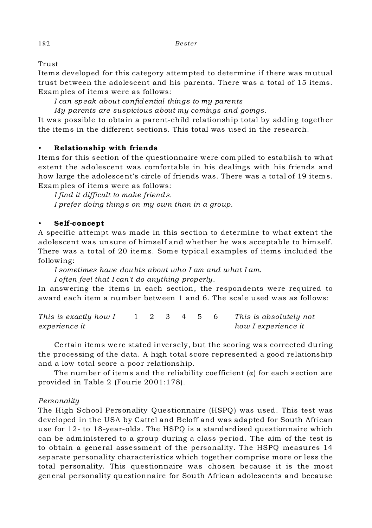Trust

Items developed for this category attempted to determine if there was mutual trust between the adolescent and his parents. There was a total of 15 items. Examples of items were as follows:

*I can speak about confidential things to my parents*

*My parents are suspicious about my comings and goings.*

It was possible to obtain a parent-child relationship total by adding together the items in the different sections. This total was used in the research.

# • Relationship with friends

Items for this section of the questionnaire were com piled to establish to what extent the adolescent was comfortable in his dealings with his friends and how large the adolescent's circle of friends was. There was a total of 19 items. Examples of items were as follows:

*I find it difficult to make friends. I prefer doing things on my own than in a group.* 

## • Self-concept

A specific attempt was made in this section to determine to what extent the adolescent was unsure of himself and whether he was acceptable to himself. There was a total of 20 items. Some typical examples of items included the following:

*I sometimes have doubts about who I am and what I am.* 

*I often feel that I can't do anything properly.* 

In answering the items in each section, the respondents were required to award each item a number between 1 and 6. The scale used was as follows:

*This is exactly how I* 1 2 3 4 5 6 *This is absolutely not experience it how I experience it*

Certain items were stated inversely, but the scoring was corrected during the processing of the data. A high total score represented a good relationship and a low total score a poor relationship.

The number of items and the reliability coefficient  $(\alpha)$  for each section are provided in Table 2 (Fourie 2001:178).

## *Personality*

The High School Personality Questionnaire (HSPQ) was used. This test was developed in the USA by Cattel and Beloff and was adapted for South African use for 12- to 18-year-olds. The HSPQ is a standardised questionnaire which can be adm inistered to a group during a class period. The aim of the test is to obtain a general assessment of the personality. The HSPQ measures 14 separate personality characteristics which together comprise more or less the total personality. This questionnaire was chosen be cause it is the most general personality questionnaire for South African adolescents and because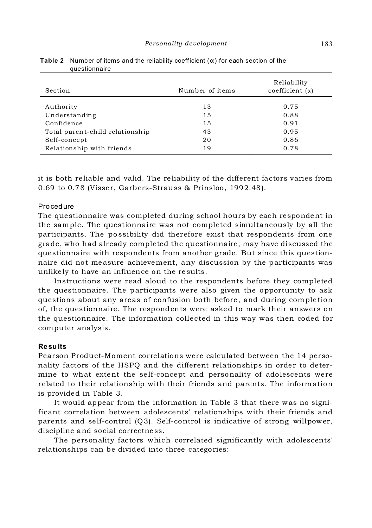| Section                         | Number of items | Reliability<br>coefficient $(\alpha)$ |
|---------------------------------|-----------------|---------------------------------------|
| Authority                       | 13              | 0.75                                  |
| Understanding                   | 15              | 0.88                                  |
| Confidence                      | 15              | 0.91                                  |
| Total parent-child relationship | 43              | 0.95                                  |
| Self-concept                    | 20              | 0.86                                  |
| Relationship with friends       | 19              | 0.78                                  |

| <b>Table 2</b> Number of items and the reliability coefficient $(\alpha)$ for each section of the |  |
|---------------------------------------------------------------------------------------------------|--|
| questionnaire                                                                                     |  |

it is both reliable and valid. The reliability of the different factors varies from 0.69 to 0.78 (Visser, Garbers-Strauss & Prinsloo, 1992:48).

#### Procedure

The questionnaire was completed during school hours by each respondent in the sample. The questionnaire was not completed simultaneously by all the participants. The po ssibility did therefore exist that respondents from one grade, who had already completed the questionnaire, may have discussed the questionnaire with respondents from another grade. But since this questionnaire did not measure achievement, any discussion by the participants was unlikely to have an influence on the re sults.

Instructions were read aloud to the respondents before they completed the questionnaire. The participants were also given the opportunity to ask questions about any areas of confusion both before, and during completion of, the questionnaire. The respondents were asked to mark their answers on the questionnaire. The information collected in this way was then coded for computer analysis.

#### **Results**

Pearson Product-Moment correlations were calculated between the 14 personality factors of the HSPQ and the different relationships in order to determine to what extent the self-concept and personality of adolescents were related to their relationship with their friends and parents. The inform ation is provided in Table 3.

It would appear from the information in Table 3 that there was no significant correlation between adolescents' relationships with their friends and parents and self-control (Q3). Self-control is indicative of strong willpower, discipline and social correctne ss.

The personality factors which correlated significantly with adolescents' relationships can be divided into three categories: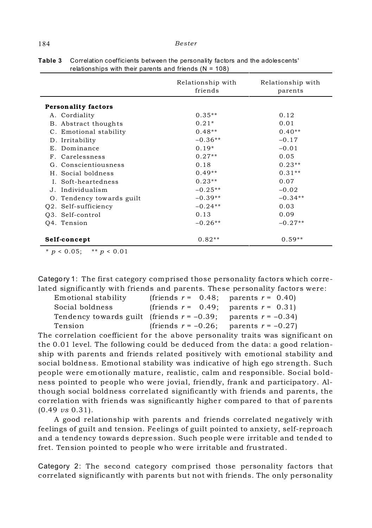|                            | Relationship with<br>friends | Relationship with<br>parents |  |
|----------------------------|------------------------------|------------------------------|--|
| <b>Personality factors</b> |                              |                              |  |
| A. Cordiality              | $0.35**$                     | 0.12                         |  |
| B. Abstract thoughts       | $0.21*$                      | 0.01                         |  |
| C. Emotional stability     | $0.48**$                     | $0.40**$                     |  |
| D. Irritability            | $-0.36**$                    | $-0.17$                      |  |
| E. Dominance               | $0.19*$                      | $-0.01$                      |  |
| F. Carelessness            | $0.27**$                     | 0.05                         |  |
| G. Conscientiousness       | 0.18                         | $0.23**$                     |  |
| H. Social boldness         | $0.49**$                     | $0.31**$                     |  |
| I. Soft-heartedness        | $0.23**$                     | 0.07                         |  |
| J. Individualism           | $-0.25**$                    | $-0.02$                      |  |
| O. Tendency towards guilt  | $-0.39**$                    | $-0.34**$                    |  |
| Q2. Self-sufficiency       | $-0.24**$                    | 0.03                         |  |
| O3. Self-control           | 0.13                         | 0.09                         |  |
| Q4. Tension                | $-0.26**$                    | $-0.27**$                    |  |
| Self-concept               | $0.82**$                     | $0.59**$                     |  |

**Table 3** Correlation coefficients between the personality factors and the adolescents' relationships with their parents and friends  $(N = 108)$ 

 $* p < 0.05$ ;  $* p < 0.01$ 

Category 1: The first category comprised those personality factors which correlated significantly with friends and parents. These personality factors were:

| Emotional stability                                                 | (friends $r = 0.48$ ; parents $r = 0.40$ )   |
|---------------------------------------------------------------------|----------------------------------------------|
| Social boldness                                                     | (friends $r = 0.49$ ; parents $r = 0.31$ )   |
| Tendency towards guilt (friends $r = -0.39$ ; parents $r = -0.34$ ) |                                              |
| Tension                                                             | (friends $r = -0.26$ ; parents $r = -0.27$ ) |

The correlation coefficient for the above personality traits was significant on the 0.01 level. The following could be deduced from the data: a good relationship with parents and friends related positively with emotional stability and social boldness. Emotional stability was indicative of high ego strength. Such people were emotionally mature, realistic, calm and responsible. Social boldness pointed to people who were jovial, friendly, frank and participatory. Although social boldness correlated significantly with friends and parents, the correlation with friends was significantly higher compared to that of parents (0.49 *vs* 0.31).

A good relationship with parents and friends correlated negatively with feelings of guilt and tension. Feelings of guilt pointed to anxiety, self-reproach and a tendency towards depre ssion. Such people were irritable and tended to fret. Tension pointed to people who were irritable and frustrated.

Category 2: The second category comprised those personality factors that correlated significantly with parents but not with friends. The only personality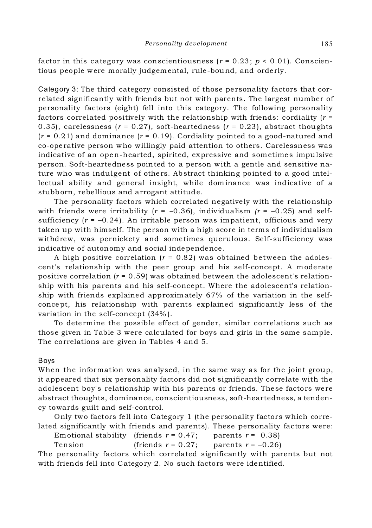factor in this category was conscientiousness ( $r = 0.23$ ;  $p < 0.01$ ). Conscientious people were morally judgemental, rule-bound, and orderly.

Category 3: The third category consisted of those pe rsonality factors that correlated significantly with friends but not with parents. The largest number of personality factors (eight) fell into this category. The following personality factors correlated positively with the relationship with friends: cordiality (*r* = 0.35), carelessness  $(r = 0.27)$ , soft-heartedness  $(r = 0.23)$ , abstract thoughts  $(r = 0.21)$  and dominance  $(r = 0.19)$ . Cordiality pointed to a good-natured and co-ope rative person who willingly paid attention to others. Carelessness was indicative of an open-hearted, spirited, expressive and sometime s impulsive person. Soft-heartedness pointed to a person with a gentle and sensitive nature who was indulgent of others. Abstract thinking pointed to a good intellectual ability and general insight, while dom inance was indicative of a stubborn, rebellious and arrogant attitude.

The personality factors which correlated negatively with the relationship with friends were irritability  $(r = -0.36)$ , individualism  $(r = -0.25)$  and selfsufficiency  $(r = -0.24)$ . An irritable person was impatient, officious and very taken up with himself. The person with a high score in terms of individualism withdrew, was pernickety and sometimes querulous. Self-sufficiency was indicative of autonomy and social independence.

A high positive correlation  $(r = 0.82)$  was obtained between the adolescent's relationship with the peer group and his self-concept. A moderate positive correlation  $(r = 0.59)$  was obtained between the adolescent's relationship with his parents and his self-concept. Where the adolescent's relationship with friends explained approximately 67% of the variation in the selfconcept, his relationship with parents explained significantly less of the variation in the self-concept (34% ).

To dete rmine the possible effect of gender, similar correlations such as those given in Table 3 were calculated for boys and girls in the same sample. The correlations are given in Tables 4 and 5.

#### Boys

When the information was analysed, in the same way as for the joint group, it appeared that six personality factors did not significantly correlate with the adolescent boy's relationship with his parents or friends. These factors were abstract thoughts, dominance, conscientiousness, soft-heartedness, a tendency towards guilt and self-control.

Only two factors fell into Category 1 (the personality factors which correlated significantly with friends and parents). These personality factors were:

Emotional stability (friends  $r = 0.47$ ; parents  $r = 0.38$ ) Tension (friends  $r = 0.27$ ; parents  $r = -0.26$ )

The personality factors which correlated significantly with parents but not with friends fell into Category 2. No such factors were identified.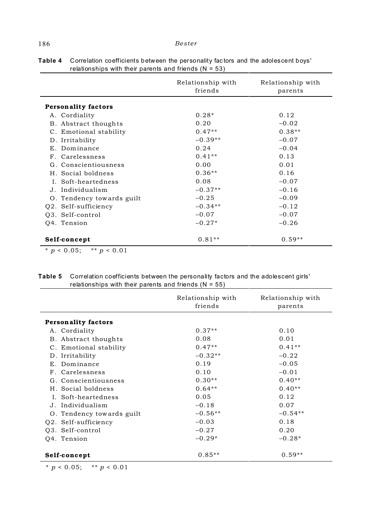|                            | Relationship with<br>friends | Relationship with<br>parents |
|----------------------------|------------------------------|------------------------------|
| <b>Personality factors</b> |                              |                              |
| A. Cordiality              | $0.28*$                      | 0.12                         |
| B. Abstract thoughts       | 0.20                         | $-0.02$                      |
| C. Emotional stability     | $0.47**$                     | $0.38**$                     |
| D. Irritability            | $-0.39**$                    | $-0.07$                      |
| E. Dominance               | 0.24                         | $-0.04$                      |
| F. Carelessness            | $0.41**$                     | 0.13                         |
| G. Conscientiousness       | 0.00                         | 0.01                         |
| H. Social boldness         | $0.36**$                     | 0.16                         |
| L. Soft-heartedness        | 0.08                         | $-0.07$                      |
| J. Individualism           | $-0.37**$                    | $-0.16$                      |
| O. Tendency towards guilt  | $-0.25$                      | $-0.09$                      |
| 02. Self-sufficiency       | $-0.34**$                    | $-0.12$                      |
| O3. Self-control           | $-0.07$                      | $-0.07$                      |
| Q4. Tension                | $-0.27*$                     | $-0.26$                      |
|                            |                              |                              |
| Self-concept               | $0.81**$                     | $0.59**$                     |

**Table 4** Correlation coefficients between the personality fac tors and the adolescent boys' relationships with their parents and friends  $(N = 53)$ 

 $* p < 0.05;$  \*\*  $p < 0.01$ 

| relationships with their parents and friends ( $N = 55$ ) |                              |                              |
|-----------------------------------------------------------|------------------------------|------------------------------|
|                                                           | Relationship with<br>friends | Relationship with<br>parents |
| <b>Personality factors</b>                                |                              |                              |
| A. Cordiality                                             | $0.37**$                     | 0.10                         |
| B. Abstract thoughts                                      | 0.08                         | 0.01                         |
| C. Emotional stability                                    | $0.47**$                     | $0.41**$                     |
| D. Irritability                                           | $-0.32**$                    | $-0.22$                      |
| E. Dominance                                              | 0.19                         | $-0.05$                      |
| F. Carelessness                                           | 0.10                         | $-0.01$                      |
| G. Conscientiousness                                      | $0.30**$                     | $0.40**$                     |
| H. Social boldness                                        | $0.64**$                     | $0.40**$                     |
| I. Soft-heartedness                                       | 0.05                         | 0.12                         |
| J. Individualism                                          | $-0.18$                      | 0.07                         |
| O. Tendency towards guilt                                 | $-0.56**$                    | $-0.54**$                    |
| Q2. Self-sufficiency                                      | $-0.03$                      | 0.18                         |
| Q3. Self-control                                          | $-0.27$                      | 0.20                         |
| Q4. Tension                                               | $-0.29*$                     | $-0.28*$                     |
| Self-concept                                              | $0.85**$                     | $0.59**$                     |

**Table 5** Correlation coefficients between the personality factors and the adolescent girls'

 $* p < 0.05;$  \*\*  $p < 0.01$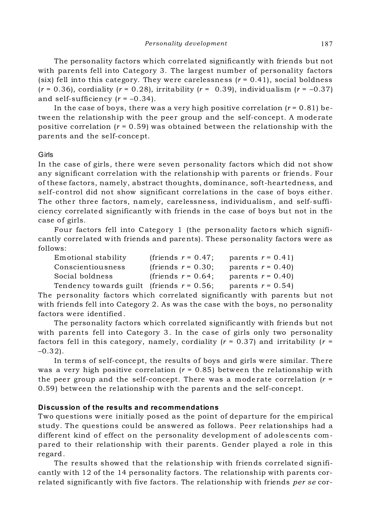The personality factors which correlated significantly with friends but not with parents fell into Category 3. The largest number of personality factors (six) fell into this category. They were carelessness (*r* = 0.41), social boldness  $(r = 0.36)$ , cordiality  $(r = 0.28)$ , irritability  $(r = 0.39)$ , individualism  $(r = -0.37)$ and self-sufficiency  $(r = -0.34)$ .

In the case of boys, there was a very high positive correlation  $(r = 0.81)$  between the relationship with the peer group and the self-concept. A moderate positive correlation  $(r = 0.59)$  was obtained between the relationship with the parents and the self-concept.

#### Girls

In the case of girls, there were seven personality factors which did not show any significant correlation with the relationship with parents or friends. Four of these factors, namely, abstract thoughts, dominance, soft-heartedness, and self-control did not show significant correlations in the case of boys either. The other three factors, namely, carelessness, individualism, and self-sufficiency correlated significantly with friends in the case of boys but not in the case of girls.

Four factors fell into Category 1 (the personality factors which significantly correlated with friends and parents). These personality factors were as follows:

| Emotional stability                          | (friends $r = 0.47$ ; | parents $r = 0.41$ |
|----------------------------------------------|-----------------------|--------------------|
| Conscientiousness                            | (friends $r = 0.30$ ; | parents $r = 0.40$ |
| Social boldness                              | (friends $r = 0.64$ ; | parents $r = 0.40$ |
| Tendency towards guilt (friends $r = 0.56$ ; |                       | parents $r = 0.54$ |

The personality factors which correlated significantly with parents but not with friends fell into Category 2. As was the case with the boys, no personality factors were identified.

The personality factors which correlated significantly with friends but not with parents fell into Category 3. In the case of girls only two personality factors fell in this category, namely, cordiality  $(r = 0.37)$  and irritability  $(r = 1.56)$  $-0.32$ ).

In term s of self-concept, the results of boys and girls were similar. There was a very high positive correlation  $(r = 0.85)$  between the relationship with the peer group and the self-concept. There was a moderate correlation  $(r =$ 0.59) between the relationship with the parents and the self-concept.

## **Discussion of the results and recommendations**

Two questions were initially posed as the point of departure for the empirical study. The questions could be answered as follows. Peer relationships had a different kind of effect on the personality development of adolescents compared to their relationship with their parents. Gender played a role in this regard.

The results showed that the relationship with friends correlated significantly with 12 of the 14 personality factors. The relationship with parents correlated significantly with five factors. The relationship with friends *per se* cor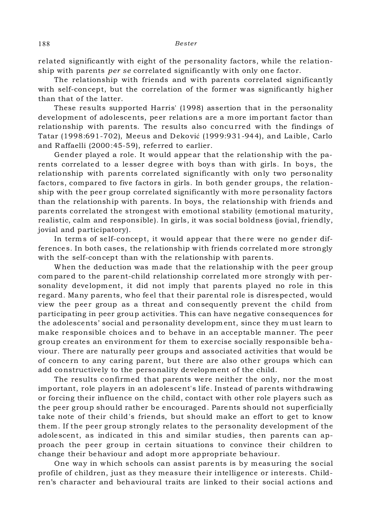related significantly with eight of the personality factors, while the relationship with parents *per se* correlated significantly with only one factor.

The relationship with friends and with parents correlated significantly with self-concept, but the correlation of the former was significantly higher than that of the latter.

These results supported Harris' (1998) assertion that in the personality development of adolescents, peer relations are a more important factor than relationship with parents. The results also concurred with the findings of Tatar (1998:691-702), Meeus and Deković (1999:931-944), and Laible, Carlo and Raffaelli (2000:45-59), referred to earlier.

Gender played a role. It would appear that the relationship with the parents correlated to a lesser degree with boys than with girls. In boys, the relationship with parents correlated significantly with only two personality factors, compared to five factors in girls. In both gender groups, the relationship with the peer group correlated significantly with more personality factors than the relationship with parents. In boys, the relationship with friends and parents correlated the strongest with emotional stability (emotional maturity, realistic, calm and responsible). In girls, it was social boldness (jovial, friendly, jovial and participatory).

In terms of self-concept, it would appear that there were no gender differences. In both cases, the relationship with friends correlated more strongly with the self-concept than with the relationship with parents.

When the deduction was made that the relationship with the peer group com pared to the parent-child relationship correlated m ore strongly with personality development, it did not imply that parents played no role in this regard. Many parents, who fe el that their parental role is disrespected, would view the peer group as a threat and consequently prevent the child from participating in peer group activities. This can have negative consequences for the adolescents' social and personality developm ent, since they m ust learn to make responsible choices and to behave in an acceptable manner. The peer group creates an environment for them to exercise socially responsible behaviour. There are naturally peer groups and associated activities that would be of conce rn to any caring parent, but there are also other groups which can add constructively to the personality development of the child.

The results confirmed that parents were neither the only, nor the most important, role players in an adolescent's life. Instead of parents withdrawing or forcing their influence on the child, contact with other role players such as the peer group should rather be encouraged. Parents should not superficially take note of their child 's friends, but should make an effort to get to know them. If the peer group strongly relates to the personality development of the adolescent, as indicated in this and similar studies, then parents can approach the peer group in certain situations to convince their children to change their behaviour and adopt m ore appropriate behaviour.

One way in which schools can assist parents is by measuring the social profile of children, just as they measure their intelligence or interests. Children's character and behavioural traits are linked to their social actions and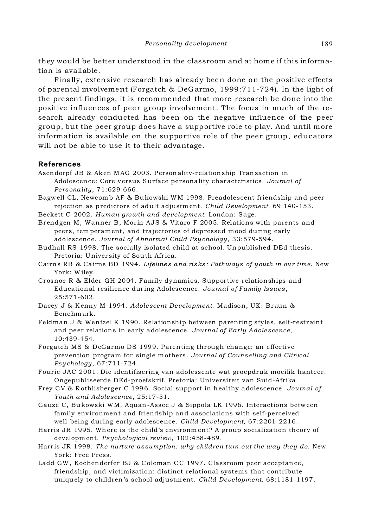they would be better understood in the classroom and at home if this information is available.

Finally, extensive research has already been done on the positive effects of parental involvement (Forgatch & DeG armo, 1999:711-724). In the light of the present findings, it is recommended that more research be done into the positive influences of peer group involvement. The focus in much of the research already conducted has been on the negative influence of the peer group, but the peer group does have a supportive role to play. And until more information is available on the supportive role of the peer group, educators will not be able to use it to their advantage.

#### **References**

Asendorpf JB & Aken M AG 2003. Personality-relationship Transaction in Adolescence: Core v ersus Surface personality characteristics. *Journal of Personality*, 71:629-666.

Bagwell CL, Newcom b AF & Bukowski WM 1998. Preadolescent friendship and peer rejection as predictors of adult adjustm ent. *Child Development*, 69:140-153.

Beckett C 2002. *Human growth and development*. London: Sage.

Brendgen M, Wanner B, Morin AJS & Vitaro F 2005. Relations with parents and peers, tem perament, and trajector ies of depressed mood during early adolescenc e. *Journal of Abnormal Child Psy chology*, 33:579-594.

Budhall RS 1998. The socially isolated child at school. Unpublished DEd thesis. Pretoria: University of South Africa.

Cairns RB & Cairns BD 1994. *Lifeline s and risks : Pathways of youth in our time*. New York: W iley.

Crosnoe R & Elder GH 2004. Family dynamics, Supportive relationships and Educational resilience dur ing Adolesc ence. *Journal of Family Issues* , 25:571-602.

Dacey J & K enny M 1994. *Adolescent Development*. Madison, UK: Braun & Benchm ark.

Feldman J & Wentzel K 1990. Relationship between parenting styles, self-restraint and pe er relations in early adolescence. *Journal of Early Adolescence*, 10:439-454.

Forgatch MS & DeGarmo DS 1999. Parenting through change: an effective prev ention program for single m others . *Journal of Counselling and Clinical Psy chology*, 67:711-724.

Fourie JAC 2001. Die identifisering van adolessente wat groepdruk moeilik hanteer. Ongepubliseerde DEd-proefskrif. Pretoria: Universiteit van Suid-Afrika.

Frey C V & R othlisberger C 1996. Social support in healthy adolescence. *Journal of Youth and Adolescence*, 25:17-31.

Gauze C, Bukowski WM, Aquan -Assee J & Sippola LK 1996. Interactions betw een family environment and friendship and associations with self-perceived well-being during early adolescence. *Child Development*, 67:2201-2216.

Harris JR 1995. Where is the child's environm ent? A group socialization theory of developm ent. *Psychological review*, 102:458-489.

Harr is JR 1998. *The nurture assumption: why children turn out the way they do*. New York: Free Press.

Ladd GW , Kochenderfer BJ & C oleman CC 1997. Classroom peer acceptance, friendship, and victimization: distinct relational systems that contribute uniquely to children's school adjustm ent. *Child Development*, 68:1181-1197.